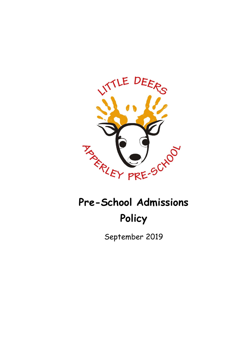

# **Pre-School Admissions Policy**

September 2019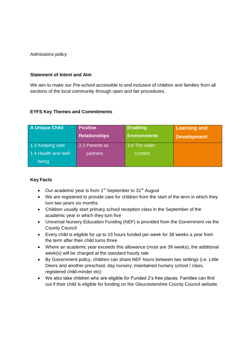Admissions policy

#### **Statement of Intent and Aim**

We aim to make our Pre-school accessible to and inclusive of children and families from all sections of the local community through open and fair procedures.

## **EYFS Key Themes and Commitments**

| A Unique Child       | <b>Positive</b>      | <b>Enabling</b>     | <b>Learning and</b> |
|----------------------|----------------------|---------------------|---------------------|
|                      | <b>Relationships</b> | <b>Environments</b> | <b>Development</b>  |
| 1.3 Keeping safe     | 2.2 Parents as       | 3.4 The wider       |                     |
| 1.4 Health and well- | partners             | context             |                     |
| being                |                      |                     |                     |

#### **Key Facts**

- Our academic year is from  $1<sup>st</sup>$  September to  $31<sup>st</sup>$  August
- We are registered to provide care for children from the start of the term in which they turn two years six months
- Children usually start primary school reception class in the September of the academic year in which they turn five
- Universal Nursery Education Funding (NEF) is provided from the Government via the County Council
- Every child is eligible for up to 15 hours funded per week for 38 weeks a year from the term after their child turns three
- Where an academic year exceeds this allowance (most are 39 weeks), the additional week(s) will be charged at the standard hourly rate
- By Government policy, children can share NEF hours between two settings (i.e. Little Deers and another preschool, day nursery, maintained nursery school / class, registered child-minder etc)
- We also take children who are eligible for Funded 2's free places. Families can find out if their child is eligible for funding on the Gloucestershire County Council website.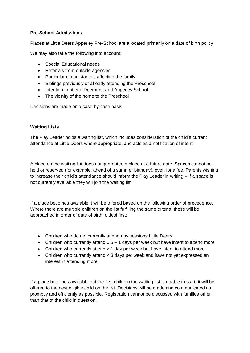# **Pre-School Admissions**

Places at Little Deers Apperley Pre-School are allocated primarily on a date of birth policy

We may also take the following into account:

- Special Educational needs
- Referrals from outside agencies
- Particular circumstances affecting the family
- Siblings previously or already attending the Preschool;
- Intention to attend Deerhurst and Apperley School
- The vicinity of the home to the Preschool

Decisions are made on a case-by-case basis.

## **Waiting Lists**

The Play Leader holds a waiting list, which includes consideration of the child's current attendance at Little Deers where appropriate, and acts as a notification of intent.

A place on the waiting list does not guarantee a place at a future date. Spaces cannot be held or reserved (for example, ahead of a summer birthday), even for a fee. Parents wishing to increase their child's attendance should inform the Play Leader in writing – if a space is not currently available they will join the waiting list.

If a place becomes available it will be offered based on the following order of precedence. Where there are multiple children on the list fulfilling the same criteria, these will be approached in order of date of birth, oldest first:

- Children who do not currently attend any sessions Little Deers
- Children who currently attend  $0.5 1$  days per week but have intent to attend more
- Children who currently attend > 1 day per week but have intent to attend more
- Children who currently attend < 3 days per week and have not yet expressed an interest in attending more

If a place becomes available but the first child on the waiting list is unable to start, it will be offered to the next eligible child on the list. Decisions will be made and communicated as promptly and efficiently as possible. Registration cannot be discussed with families other than that of the child in question.